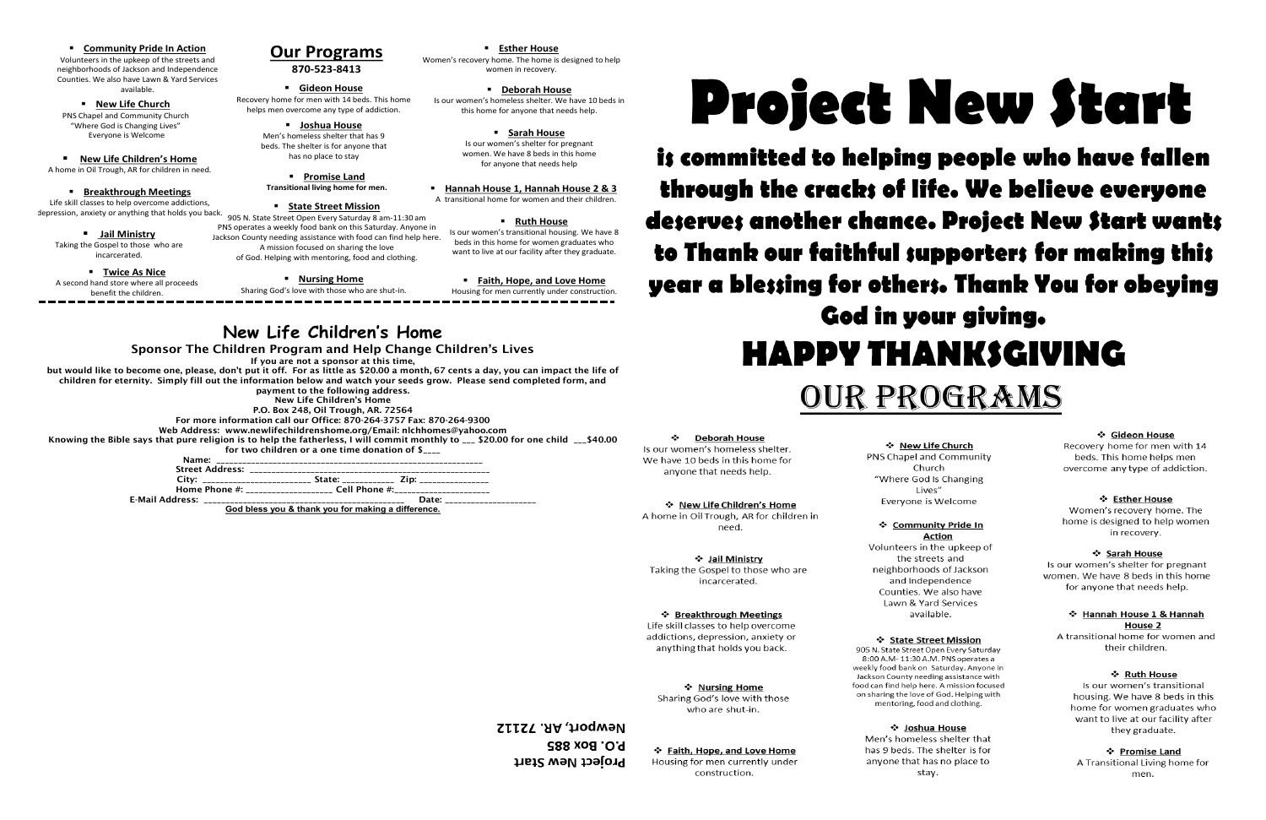Jepression, anxiety or anything that holds you back.<br>905 N. State Street Open Every Saturday 8 am-11:30 am Life skill classes to help overcome addictions,

**Twice As Nice** A second hand store where all proceeds benefit the children.

 **New Life Church** PNS Chapel and Community Church "Where God is Changing Lives" Everyone is Welcome

# **New Life Children's Home**

A home in Oil Trough, AR for children in need.

# **Jail Ministry**

Taking the Gospel to those who are incarcerated.

 **Esther House** Women's recovery home. The home is designed to help women in recovery.

 **Deborah House** Is our women's homeless shelter. We have 10 beds in this home for anyone that needs help.

 **Joshua House** Men's homeless shelter that has 9 beds. The shelter is for anyone that has no place to stay

 **Gideon House** Recovery home for men with 14 beds. This home helps men overcome any type of addiction.

### **Promise Land Transitional living home for men.**

# **F** State Street Mission

 **Faith, Hope, and Love Home** Housing for men currently under construction.

### **Community Pride In Action**

Volunteers in the upkeep of the streets and neighborhoods of Jackson and Independence Counties. We also have Lawn & Yard Services available.

> PNS operates a weekly food bank on this Saturday. Anyone in Jackson County needing assistance with food can find help here. A mission focused on sharing the love of God. Helping with mentoring, food and clothing.

# **Our Programs**

**870-523-8413**

# **New Life Children's Home**

# **Sponsor The Children Program and Help Change Children's Lives**

**If you are not a sponsor at this time,** 

**but would like to become one, please, don't put it off. For as little as \$20.00 a month, 67 cents a day, you can impact the life of children for eternity. Simply fill out the information below and watch your seeds grow. Please send completed form, and** 

**payment to the following address.**

- **New Life Children's Home**
- **P.O. Box 248, Oil Trough, AR. 72564**

**For more information call our Office: 870-264-3757 Fax: 870-264-9300**

**Web Address: www.newlifechildrenshome.org/Email: nlchhomes@yahoo.com**

**Knowing the Bible says that pure religion is to help the fatherless, I will commit monthly to \_\_\_ \$20.00 for one child \_\_\_\$40.00 for two children or a one time donation of \$\_\_\_\_** 

| Name:                                               |       |
|-----------------------------------------------------|-------|
| <b>Street Address:</b>                              |       |
| City: City: State: Zip:                             |       |
| Home Phone $\#$ : $\qquad \qquad$ Cell Phone $\#$ : |       |
| <b>E-Mail Address:</b>                              | Date: |

**God bless you & thank you for making a difference.**

# **Project New Start**

is committed to helping people who have fallen through the cracks of life. We believe everyone deserves another chance. Project New Start wants to Thank our faithful supporters for making this year a blessing for others. Thank You for obeying God in your giving. **HAPPY THANKSGIVING OUR PROGRAMS** 

### ❖ **Deborah House**

Is our women's homeless shelter. We have 10 beds in this home for anvone that needs help.

# ❖ New Life Children's Home

A home in Oil Trough, AR for children in need.

### ❖ Jail Ministry

Taking the Gospel to those who are incarcerated.

addictions, depression, anxiety or anything that holds you back.

❖ Nursing Home Sharing God's love with those who are shut-in.

construction.

# \* Faith, Hope, and Love Home Housing for men currently under

Newport, AR. 72112 **P.O. Box 885** Project New Start

❖ Breakthrough Meetings Life skill classes to help overcome

# ❖ New Life Church

PNS Chapel and Community Church "Where God Is Changing Lives" Evervone is Welcome

# ❖ Community Pride In **Action**

Volunteers in the upkeep of the streets and neighborhoods of Jackson and Independence Counties. We also have Lawn & Yard Services available.

# ❖ State Street Mission

905 N. State Street Open Every Saturday 8:00 A.M- 11:30 A.M. PNS operates a weekly food bank on Saturday. Anyone in lackson County needing assistance with food can find help here. A mission focused on sharing the love of God. Helping with mentoring, food and clothing.

# ❖ Joshua House

Men's homeless shelter that has 9 beds. The shelter is for anyone that has no place to stav.

❖ Gideon House Recovery home for men with 14 beds. This home helps men overcome any type of addiction.

# ❖ Esther House

Women's recovery home. The home is designed to help women in recovery.

# ❖ Sarah House

Is our women's shelter for pregnant women. We have 8 beds in this home for anyone that needs help.

### \* Hannah House 1 & Hannah **House 2**

A transitional home for women and their children.

# ❖ Ruth House

Is our women's transitional housing. We have 8 beds in this home for women graduates who want to live at our facility after they graduate.

# ❖ Promise Land

A Transitional Living home for men.

# **Nursing Home** Sharing God's love with those who are shut-in.

# **Breakthrough Meetings**

 **Sarah House** Is our women's shelter for pregnant women. We have 8 beds in this home for anyone that needs help

 **Ruth House** Is our women's transitional housing. We have 8 beds in this home for women graduates who want to live at our facility after they graduate.

 **Hannah House 1, Hannah House 2 & 3**  A transitional home for women and their children.